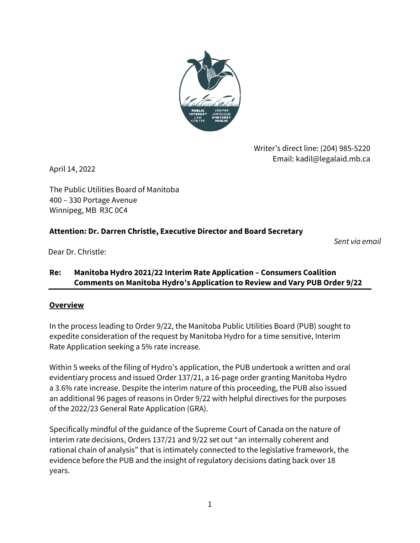

Writer's direct line: (204) 985-5220 Email: kadil@legalaid.mb.ca

April 14, 2022

The Public Utilities Board of Manitoba 400 – 330 Portage Avenue Winnipeg, MB R3C 0C4

### **Attention: Dr. Darren Christle, Executive Director and Board Secretary**

*Sent via email*

Dear Dr. Christle:

### **Re: Manitoba Hydro 2021/22 Interim Rate Application – Consumers Coalition Comments on Manitoba Hydro's Application to Review and Vary PUB Order 9/22**

#### **Overview**

In the process leading to Order 9/22, the Manitoba Public Utilities Board (PUB) sought to expedite consideration of the request by Manitoba Hydro for a time sensitive, Interim Rate Application seeking a 5% rate increase.

Within 5 weeks of the filing of Hydro's application, the PUB undertook a written and oral evidentiary process and issued Order 137/21, a 16-page order granting Manitoba Hydro a 3.6% rate increase. Despite the interim nature of this proceeding, the PUB also issued an additional 96 pages of reasons in Order 9/22 with helpful directives for the purposes of the 2022/23 General Rate Application (GRA).

Specifically mindful of the guidance of the Supreme Court of Canada on the nature of interim rate decisions, Orders 137/21 and 9/22 set out "an internally coherent and rational chain of analysis" that is intimately connected to the legislative framework, the evidence before the PUB and the insight of regulatory decisions dating back over 18 years.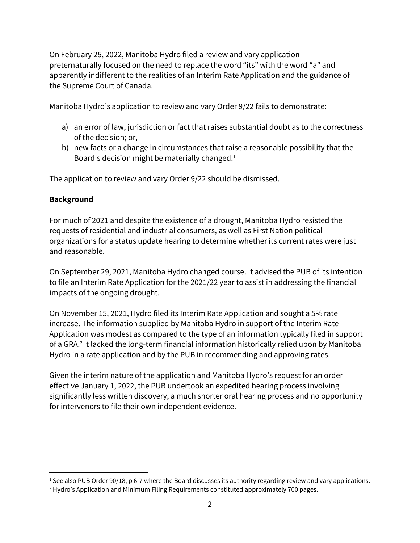On February 25, 2022, Manitoba Hydro filed a review and vary application preternaturally focused on the need to replace the word "its" with the word "a" and apparently indifferent to the realities of an Interim Rate Application and the guidance of the Supreme Court of Canada.

Manitoba Hydro's application to review and vary Order 9/22 fails to demonstrate:

- a) an error of law, jurisdiction or fact that raises substantial doubt as to the correctness of the decision; or,
- b) new facts or a change in circumstances that raise a reasonable possibility that the Board's decision might be materially changed.<sup>1</sup>

The application to review and vary Order 9/22 should be dismissed.

# **Background**

For much of 2021 and despite the existence of a drought, Manitoba Hydro resisted the requests of residential and industrial consumers, as well as First Nation political organizations for a status update hearing to determine whether its current rates were just and reasonable.

On September 29, 2021, Manitoba Hydro changed course. It advised the PUB of its intention to file an Interim Rate Application for the 2021/22 year to assist in addressing the financial impacts of the ongoing drought.

On November 15, 2021, Hydro filed its Interim Rate Application and sought a 5% rate increase. The information supplied by Manitoba Hydro in support of the Interim Rate Application was modest as compared to the type of an information typically filed in support of a GRA. 2 It lacked the long-term financial information historically relied upon by Manitoba Hydro in a rate application and by the PUB in recommending and approving rates.

Given the interim nature of the application and Manitoba Hydro's request for an order effective January 1, 2022, the PUB undertook an expedited hearing process involving significantly less written discovery, a much shorter oral hearing process and no opportunity for intervenors to file their own independent evidence.

 $1$  See also PUB Order 90/18, p 6-7 where the Board discusses its authority regarding review and vary applications.

<sup>&</sup>lt;sup>2</sup> Hydro's Application and Minimum Filing Requirements constituted approximately 700 pages.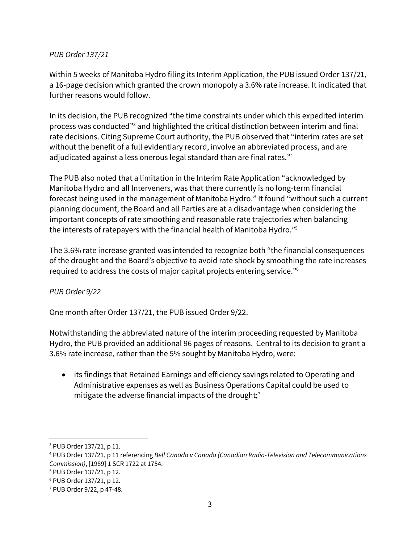#### *PUB Order 137/21*

Within 5 weeks of Manitoba Hydro filing its Interim Application, the PUB issued Order 137/21, a 16-page decision which granted the crown monopoly a 3.6% rate increase. It indicated that further reasons would follow.

In its decision, the PUB recognized "the time constraints under which this expedited interim process was conducted" <sup>3</sup> and highlighted the critical distinction between interim and final rate decisions. Citing Supreme Court authority, the PUB observed that "interim rates are set without the benefit of a full evidentiary record, involve an abbreviated process, and are adjudicated against a less onerous legal standard than are final rates." 4

The PUB also noted that a limitation in the Interim Rate Application "acknowledged by Manitoba Hydro and all Interveners, was that there currently is no long-term financial forecast being used in the management of Manitoba Hydro." It found "without such a current planning document, the Board and all Parties are at a disadvantage when considering the important concepts of rate smoothing and reasonable rate trajectories when balancing the interests of ratepayers with the financial health of Manitoba Hydro." 5

The 3.6% rate increase granted was intended to recognize both "the financial consequences of the drought and the Board's objective to avoid rate shock by smoothing the rate increases required to address the costs of major capital projects entering service."<sup>6</sup>

### *PUB Order 9/22*

One month after Order 137/21, the PUB issued Order 9/22.

Notwithstanding the abbreviated nature of the interim proceeding requested by Manitoba Hydro, the PUB provided an additional 96 pages of reasons. Central to its decision to grant a 3.6% rate increase, rather than the 5% sought by Manitoba Hydro, were:

• its findings that Retained Earnings and efficiency savings related to Operating and Administrative expenses as well as Business Operations Capital could be used to mitigate the adverse financial impacts of the drought; 7

<sup>3</sup> PUB Order 137/21, p 11.

<sup>4</sup> PUB Order 137/21, p 11 referencing *Bell Canada v Canada (Canadian Radio-Television and Telecommunications Commission)*, [1989] 1 SCR 1722 at 1754.

<sup>5</sup> PUB Order 137/21, p 12.

<sup>6</sup> PUB Order 137/21, p 12.

<sup>7</sup> PUB Order 9/22, p 47-48.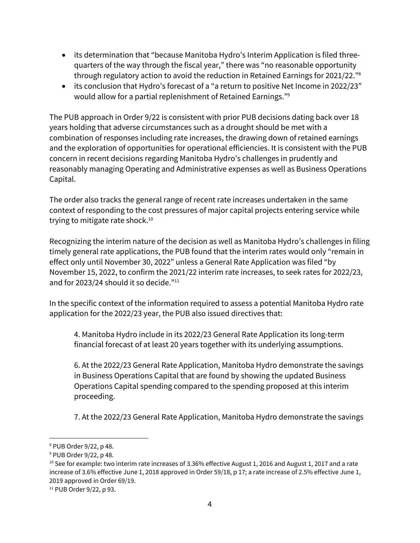- its determination that "because Manitoba Hydro's Interim Application is filed threequarters of the way through the fiscal year," there was "no reasonable opportunity through regulatory action to avoid the reduction in Retained Earnings for 2021/22."<sup>8</sup>
- its conclusion that Hydro's forecast of a "a return to positive Net Income in 2022/23" would allow for a partial replenishment of Retained Earnings." 9

The PUB approach in Order 9/22 is consistent with prior PUB decisions dating back over 18 years holding that adverse circumstances such as a drought should be met with a combination of responses including rate increases, the drawing down of retained earnings and the exploration of opportunities for operational efficiencies. It is consistent with the PUB concern in recent decisions regarding Manitoba Hydro's challenges in prudently and reasonably managing Operating and Administrative expenses as well as Business Operations Capital.

The order also tracks the general range of recent rate increases undertaken in the same context of responding to the cost pressures of major capital projects entering service while trying to mitigate rate shock. 10

Recognizing the interim nature of the decision as well as Manitoba Hydro's challenges in filing timely general rate applications, the PUB found that the interim rates would only "remain in effect only until November 30, 2022" unless a General Rate Application was filed "by November 15, 2022, to confirm the 2021/22 interim rate increases, to seek rates for 2022/23, and for 2023/24 should it so decide."<sup>11</sup>

In the specific context of the information required to assess a potential Manitoba Hydro rate application for the 2022/23 year, the PUB also issued directives that:

4. Manitoba Hydro include in its 2022/23 General Rate Application its long-term financial forecast of at least 20 years together with its underlying assumptions.

6. At the 2022/23 General Rate Application, Manitoba Hydro demonstrate the savings in Business Operations Capital that are found by showing the updated Business Operations Capital spending compared to the spending proposed at this interim proceeding.

7. At the 2022/23 General Rate Application, Manitoba Hydro demonstrate the savings

<sup>11</sup> PUB Order 9/22, p 93.

<sup>8</sup> PUB Order 9/22, p 48.

<sup>9</sup> PUB Order 9/22, p 48.

<sup>&</sup>lt;sup>10</sup> See for example: two interim rate increases of 3.36% effective August 1, 2016 and August 1, 2017 and a rate increase of 3.6% effective June 1, 2018 approved in Order 59/18, p 17; a rate increase of 2.5% effective June 1, 2019 approved in Order 69/19.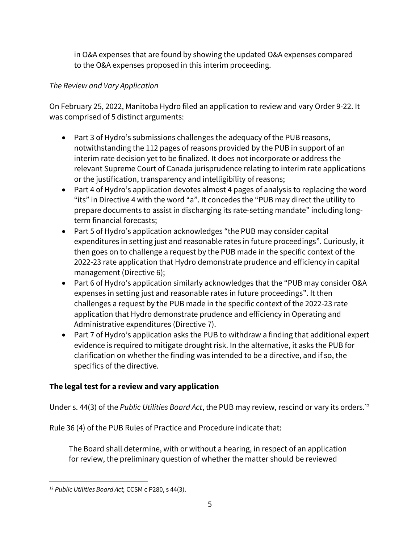in O&A expenses that are found by showing the updated O&A expenses compared to the O&A expenses proposed in this interim proceeding.

# *The Review and Vary Application*

On February 25, 2022, Manitoba Hydro filed an application to review and vary Order 9-22. It was comprised of 5 distinct arguments:

- Part 3 of Hydro's submissions challenges the adequacy of the PUB reasons, notwithstanding the 112 pages of reasons provided by the PUB in support of an interim rate decision yet to be finalized. It does not incorporate or address the relevant Supreme Court of Canada jurisprudence relating to interim rate applications or the justification, transparency and intelligibility of reasons;
- Part 4 of Hydro's application devotes almost 4 pages of analysis to replacing the word "its" in Directive 4 with the word "a". It concedes the "PUB may direct the utility to prepare documents to assist in discharging its rate-setting mandate" including longterm financial forecasts;
- Part 5 of Hydro's application acknowledges "the PUB may consider capital expenditures in setting just and reasonable rates in future proceedings". Curiously, it then goes on to challenge a request by the PUB made in the specific context of the 2022-23 rate application that Hydro demonstrate prudence and efficiency in capital management (Directive 6);
- Part 6 of Hydro's application similarly acknowledges that the "PUB may consider O&A expenses in setting just and reasonable rates in future proceedings". It then challenges a request by the PUB made in the specific context of the 2022-23 rate application that Hydro demonstrate prudence and efficiency in Operating and Administrative expenditures (Directive 7).
- Part 7 of Hydro's application asks the PUB to withdraw a finding that additional expert evidence is required to mitigate drought risk. In the alternative, it asks the PUB for clarification on whether the finding was intended to be a directive, and if so, the specifics of the directive.

# **The legal test for a review and vary application**

Under s. 44(3) of the *Public Utilities Board Act*, the PUB may review, rescind or vary its orders.<sup>12</sup>

Rule 36 (4) of the PUB Rules of Practice and Procedure indicate that:

The Board shall determine, with or without a hearing, in respect of an application for review, the preliminary question of whether the matter should be reviewed

<sup>12</sup> *Public Utilities Board Act,* CCSM c P280, s 44(3).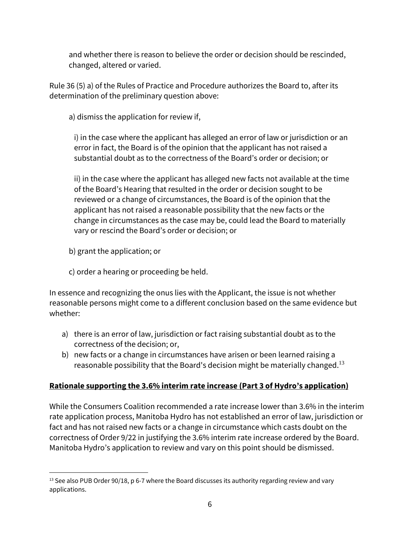and whether there is reason to believe the order or decision should be rescinded, changed, altered or varied.

Rule 36 (5) a) of the Rules of Practice and Procedure authorizes the Board to, after its determination of the preliminary question above:

a) dismiss the application for review if,

i) in the case where the applicant has alleged an error of law or jurisdiction or an error in fact, the Board is of the opinion that the applicant has not raised a substantial doubt as to the correctness of the Board's order or decision; or

ii) in the case where the applicant has alleged new facts not available at the time of the Board's Hearing that resulted in the order or decision sought to be reviewed or a change of circumstances, the Board is of the opinion that the applicant has not raised a reasonable possibility that the new facts or the change in circumstances as the case may be, could lead the Board to materially vary or rescind the Board's order or decision; or

- b) grant the application; or
- c) order a hearing or proceeding be held.

In essence and recognizing the onus lies with the Applicant, the issue is not whether reasonable persons might come to a different conclusion based on the same evidence but whether:

- a) there is an error of law, jurisdiction or fact raising substantial doubt as to the correctness of the decision; or,
- b) new facts or a change in circumstances have arisen or been learned raising a reasonable possibility that the Board's decision might be materially changed.<sup>13</sup>

# **Rationale supporting the 3.6% interim rate increase (Part 3 of Hydro's application)**

While the Consumers Coalition recommended a rate increase lower than 3.6% in the interim rate application process, Manitoba Hydro has not established an error of law, jurisdiction or fact and has not raised new facts or a change in circumstance which casts doubt on the correctness of Order 9/22 in justifying the 3.6% interim rate increase ordered by the Board. Manitoba Hydro's application to review and vary on this point should be dismissed.

<sup>&</sup>lt;sup>13</sup> See also PUB Order 90/18, p 6-7 where the Board discusses its authority regarding review and vary applications.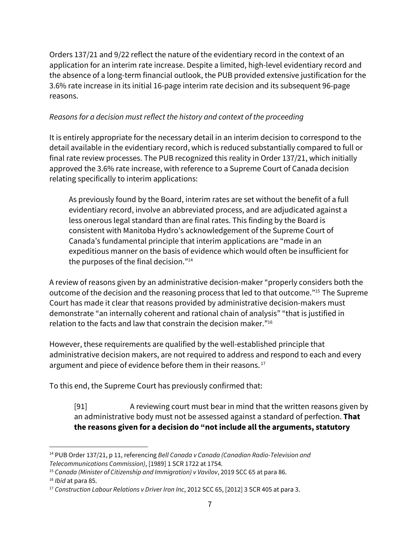Orders 137/21 and 9/22 reflect the nature of the evidentiary record in the context of an application for an interim rate increase. Despite a limited, high-level evidentiary record and the absence of a long-term financial outlook, the PUB provided extensive justification for the 3.6% rate increase in its initial 16-page interim rate decision and its subsequent 96-page reasons.

### *Reasons for a decision must reflect the history and context of the proceeding*

It is entirely appropriate for the necessary detail in an interim decision to correspond to the detail available in the evidentiary record, which is reduced substantially compared to full or final rate review processes. The PUB recognized this reality in Order 137/21, which initially approved the 3.6% rate increase, with reference to a Supreme Court of Canada decision relating specifically to interim applications:

As previously found by the Board, interim rates are set without the benefit of a full evidentiary record, involve an abbreviated process, and are adjudicated against a less onerous legal standard than are final rates. This finding by the Board is consistent with Manitoba Hydro's acknowledgement of the Supreme Court of Canada's fundamental principle that interim applications are "made in an expeditious manner on the basis of evidence which would often be insufficient for the purposes of the final decision."<sup>14</sup>

A review of reasons given by an administrative decision-maker "properly considers both the outcome of the decision and the reasoning process that led to that outcome." <sup>15</sup> The Supreme Court has made it clear that reasons provided by administrative decision-makers must demonstrate "an internally coherent and rational chain of analysis" "that is justified in relation to the facts and law that constrain the decision maker."<sup>16</sup>

However, these requirements are qualified by the well-established principle that administrative decision makers, are not required to address and respond to each and every argument and piece of evidence before them in their reasons.<sup>17</sup>

To this end, the Supreme Court has previously confirmed that:

[91] A reviewing court must bear in mind that the written reasons given by an administrative body must not be assessed against a standard of perfection. **That the reasons given for a decision do "not include all the arguments, statutory**

<sup>14</sup> PUB Order 137/21, p 11, referencing *Bell Canada v Canada (Canadian Radio-Television and Telecommunications Commission)*, [1989] 1 SCR 1722 at 1754.

<sup>15</sup> *Canada (Minister of Citizenship and Immigration) v Vavilov*, 2019 SCC 65 at para 86.

<sup>16</sup> *Ibid* at para 85.

<sup>17</sup> *Construction Labour Relations v Driver Iron Inc*, 2012 SCC 65, [2012] 3 SCR 405 at para 3.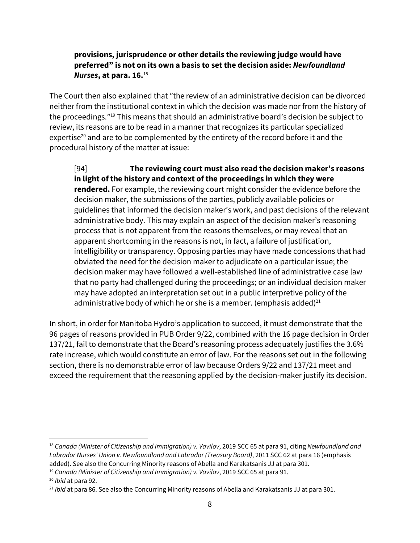### **provisions, jurisprudence or other details the reviewing judge would have preferred" is not on its own a basis to set the decision aside:** *Newfoundland Nurses***, at para. 16.**<sup>18</sup>

The Court then also explained that "the review of an administrative decision can be divorced neither from the institutional context in which the decision was made nor from the history of the proceedings." <sup>19</sup> This means that should an administrative board's decision be subject to review, its reasons are to be read in a manner that recognizes its particular specialized expertise<sup>20</sup> and are to be complemented by the entirety of the record before it and the procedural history of the matter at issue:

[94] **The reviewing court must also read the decision maker's reasons in light of the history and context of the proceedings in which they were rendered.** For example, the reviewing court might consider the evidence before the decision maker, the submissions of the parties, publicly available policies or guidelines that informed the decision maker's work, and past decisions of the relevant administrative body. This may explain an aspect of the decision maker's reasoning process that is not apparent from the reasons themselves, or may reveal that an apparent shortcoming in the reasons is not, in fact, a failure of justification, intelligibility or transparency. Opposing parties may have made concessions that had obviated the need for the decision maker to adjudicate on a particular issue; the decision maker may have followed a well-established line of administrative case law that no party had challenged during the proceedings; or an individual decision maker may have adopted an interpretation set out in a public interpretive policy of the administrative body of which he or she is a member. (emphasis added) $^{21}$ 

In short, in order for Manitoba Hydro's application to succeed, it must demonstrate that the 96 pages of reasons provided in PUB Order 9/22, combined with the 16 page decision in Order 137/21, fail to demonstrate that the Board's reasoning process adequately justifies the 3.6% rate increase, which would constitute an error of law. For the reasons set out in the following section, there is no demonstrable error of law because Orders 9/22 and 137/21 meet and exceed the requirement that the reasoning applied by the decision-maker justify its decision.

<sup>18</sup> *Canada (Minister of Citizenship and Immigration) v. Vavilov*, 2019 SCC 65 at para 91, citing *Newfoundland and Labrador Nurses' Union v. Newfoundland and Labrador (Treasury Board)*, 2011 SCC 62 at para 16 (emphasis added). See also the Concurring Minority reasons of Abella and Karakatsanis JJ at para 301.

<sup>19</sup> *Canada (Minister of Citizenship and Immigration) v. Vavilov*, 2019 SCC 65 at para 91.

<sup>20</sup> *Ibid* at para 92.

<sup>21</sup> *Ibid* at para 86. See also the Concurring Minority reasons of Abella and Karakatsanis JJ at para 301.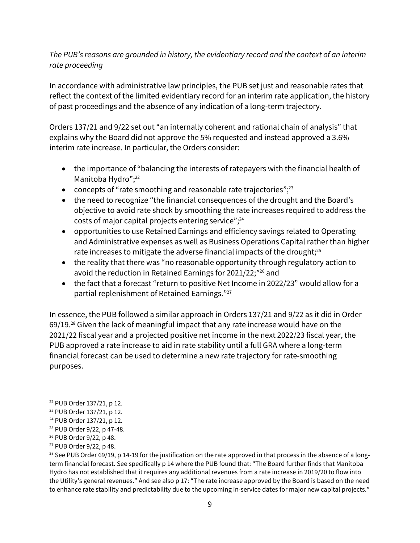### *The PUB's reasons are grounded in history, the evidentiary record and the context of an interim rate proceeding*

In accordance with administrative law principles, the PUB set just and reasonable rates that reflect the context of the limited evidentiary record for an interim rate application, the history of past proceedings and the absence of any indication of a long-term trajectory.

Orders 137/21 and 9/22 set out "an internally coherent and rational chain of analysis" that explains why the Board did not approve the 5% requested and instead approved a 3.6% interim rate increase. In particular, the Orders consider:

- the importance of "balancing the interests of ratepayers with the financial health of Manitoba Hydro"; 22
- concepts of "rate smoothing and reasonable rate trajectories";<sup>23</sup>
- the need to recognize "the financial consequences of the drought and the Board's objective to avoid rate shock by smoothing the rate increases required to address the costs of major capital projects entering service"; 24
- opportunities to use Retained Earnings and efficiency savings related to Operating and Administrative expenses as well as Business Operations Capital rather than higher rate increases to mitigate the adverse financial impacts of the drought; $^{25}$
- the reality that there was "no reasonable opportunity through regulatory action to avoid the reduction in Retained Earnings for 2021/22;" <sup>26</sup> and
- the fact that a forecast "return to positive Net Income in 2022/23" would allow for a partial replenishment of Retained Earnings." 27

In essence, the PUB followed a similar approach in Orders 137/21 and 9/22 as it did in Order 69/19. <sup>28</sup> Given the lack of meaningful impact that any rate increase would have on the 2021/22 fiscal year and a projected positive net income in the next 2022/23 fiscal year, the PUB approved a rate increase to aid in rate stability until a full GRA where a long-term financial forecast can be used to determine a new rate trajectory for rate-smoothing purposes.

<sup>22</sup> PUB Order 137/21, p 12.

<sup>23</sup> PUB Order 137/21, p 12.

<sup>24</sup> PUB Order 137/21, p 12.

<sup>25</sup> PUB Order 9/22, p 47-48.

<sup>26</sup> PUB Order 9/22, p 48.

<sup>27</sup> PUB Order 9/22, p 48.

<sup>&</sup>lt;sup>28</sup> See PUB Order 69/19, p 14-19 for the justification on the rate approved in that process in the absence of a longterm financial forecast. See specifically p 14 where the PUB found that: "The Board further finds that Manitoba Hydro has not established that it requires any additional revenues from a rate increase in 2019/20 to flow into the Utility's general revenues." And see also p 17: "The rate increase approved by the Board is based on the need to enhance rate stability and predictability due to the upcoming in-service dates for major new capital projects."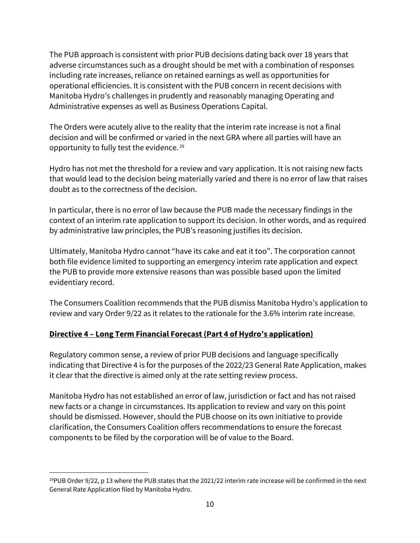The PUB approach is consistent with prior PUB decisions dating back over 18 years that adverse circumstances such as a drought should be met with a combination of responses including rate increases, reliance on retained earnings as well as opportunities for operational efficiencies. It is consistent with the PUB concern in recent decisions with Manitoba Hydro's challenges in prudently and reasonably managing Operating and Administrative expenses as well as Business Operations Capital.

The Orders were acutely alive to the reality that the interim rate increase is not a final decision and will be confirmed or varied in the next GRA where all parties will have an opportunity to fully test the evidence. <sup>29</sup>

Hydro has not met the threshold for a review and vary application. It is not raising new facts that would lead to the decision being materially varied and there is no error of law that raises doubt as to the correctness of the decision.

In particular, there is no error of law because the PUB made the necessary findings in the context of an interim rate application to support its decision. In other words, and as required by administrative law principles, the PUB's reasoning justifies its decision.

Ultimately, Manitoba Hydro cannot "have its cake and eat it too". The corporation cannot both file evidence limited to supporting an emergency interim rate application and expect the PUB to provide more extensive reasons than was possible based upon the limited evidentiary record.

The Consumers Coalition recommends that the PUB dismiss Manitoba Hydro's application to review and vary Order 9/22 as it relates to the rationale for the 3.6% interim rate increase.

### **Directive 4 – Long Term Financial Forecast (Part 4 of Hydro's application)**

Regulatory common sense, a review of prior PUB decisions and language specifically indicating that Directive 4 is for the purposes of the 2022/23 General Rate Application, makes it clear that the directive is aimed only at the rate setting review process.

Manitoba Hydro has not established an error of law, jurisdiction or fact and has not raised new facts or a change in circumstances. Its application to review and vary on this point should be dismissed. However, should the PUB choose on its own initiative to provide clarification, the Consumers Coalition offers recommendations to ensure the forecast components to be filed by the corporation will be of value to the Board.

<sup>&</sup>lt;sup>29</sup>PUB Order 9/22, p 13 where the PUB states that the 2021/22 interim rate increase will be confirmed in the next General Rate Application filed by Manitoba Hydro.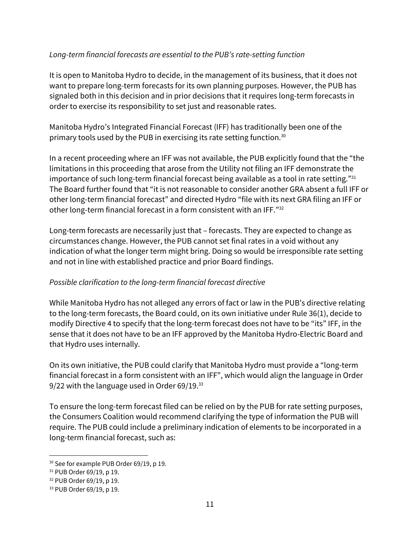### *Long-term financial forecasts are essential to the PUB's rate-setting function*

It is open to Manitoba Hydro to decide, in the management of its business, that it does not want to prepare long-term forecasts for its own planning purposes. However, the PUB has signaled both in this decision and in prior decisions that it requires long-term forecasts in order to exercise its responsibility to set just and reasonable rates.

Manitoba Hydro's Integrated Financial Forecast (IFF) has traditionally been one of the primary tools used by the PUB in exercising its rate setting function.<sup>30</sup>

In a recent proceeding where an IFF was not available, the PUB explicitly found that the "the limitations in this proceeding that arose from the Utility not filing an IFF demonstrate the importance of such long-term financial forecast being available as a tool in rate setting."<sup>31</sup> The Board further found that "it is not reasonable to consider another GRA absent a full IFF or other long-term financial forecast" and directed Hydro "file with its next GRA filing an IFF or other long-term financial forecast in a form consistent with an IFF." 32

Long-term forecasts are necessarily just that – forecasts. They are expected to change as circumstances change. However, the PUB cannot set final rates in a void without any indication of what the longer term might bring. Doing so would be irresponsible rate setting and not in line with established practice and prior Board findings.

### *Possible clarification to the long-term financial forecast directive*

While Manitoba Hydro has not alleged any errors of fact or law in the PUB's directive relating to the long-term forecasts, the Board could, on its own initiative under Rule 36(1), decide to modify Directive 4 to specify that the long-term forecast does not have to be "its" IFF, in the sense that it does not have to be an IFF approved by the Manitoba Hydro-Electric Board and that Hydro uses internally.

On its own initiative, the PUB could clarify that Manitoba Hydro must provide a "long-term financial forecast in a form consistent with an IFF", which would align the language in Order 9/22 with the language used in Order 69/19.<sup>33</sup>

To ensure the long-term forecast filed can be relied on by the PUB for rate setting purposes, the Consumers Coalition would recommend clarifying the type of information the PUB will require. The PUB could include a preliminary indication of elements to be incorporated in a long-term financial forecast, such as:

<sup>&</sup>lt;sup>30</sup> See for example PUB Order 69/19, p 19.

<sup>31</sup> PUB Order 69/19, p 19.

<sup>32</sup> PUB Order 69/19, p 19.

<sup>33</sup> PUB Order 69/19, p 19.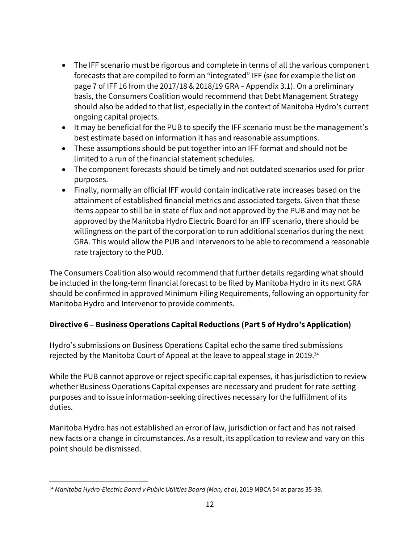- The IFF scenario must be rigorous and complete in terms of all the various component forecasts that are compiled to form an "integrated" IFF (see for example the list on page 7 of IFF 16 from the 2017/18 & 2018/19 GRA – Appendix 3.1). On a preliminary basis, the Consumers Coalition would recommend that Debt Management Strategy should also be added to that list, especially in the context of Manitoba Hydro's current ongoing capital projects.
- It may be beneficial for the PUB to specify the IFF scenario must be the management's best estimate based on information it has and reasonable assumptions.
- These assumptions should be put together into an IFF format and should not be limited to a run of the financial statement schedules.
- The component forecasts should be timely and not outdated scenarios used for prior purposes.
- Finally, normally an official IFF would contain indicative rate increases based on the attainment of established financial metrics and associated targets. Given that these items appear to still be in state of flux and not approved by the PUB and may not be approved by the Manitoba Hydro Electric Board for an IFF scenario, there should be willingness on the part of the corporation to run additional scenarios during the next GRA. This would allow the PUB and Intervenors to be able to recommend a reasonable rate trajectory to the PUB.

The Consumers Coalition also would recommend that further details regarding what should be included in the long-term financial forecast to be filed by Manitoba Hydro in its next GRA should be confirmed in approved Minimum Filing Requirements, following an opportunity for Manitoba Hydro and Intervenor to provide comments.

# **Directive 6 – Business Operations Capital Reductions (Part 5 of Hydro's Application)**

Hydro's submissions on Business Operations Capital echo the same tired submissions rejected by the Manitoba Court of Appeal at the leave to appeal stage in 2019.<sup>34</sup>

While the PUB cannot approve or reject specific capital expenses, it has jurisdiction to review whether Business Operations Capital expenses are necessary and prudent for rate-setting purposes and to issue information-seeking directives necessary for the fulfillment of its duties.

Manitoba Hydro has not established an error of law, jurisdiction or fact and has not raised new facts or a change in circumstances. As a result, its application to review and vary on this point should be dismissed.

<sup>34</sup> *Manitoba Hydro-Electric Board v Public Utilities Board (Man) et al*, 2019 MBCA 54 at paras 35-39.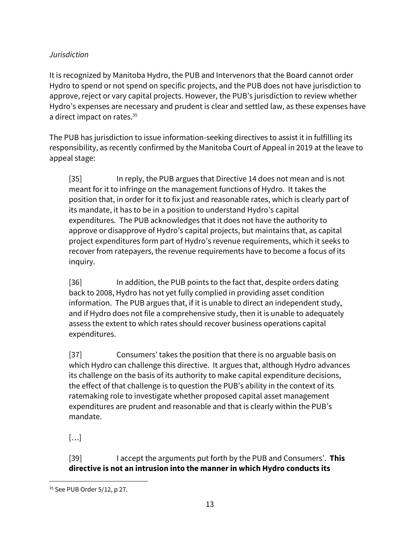### *Jurisdiction*

It is recognized by Manitoba Hydro, the PUB and Intervenors that the Board cannot order Hydro to spend or not spend on specific projects, and the PUB does not have jurisdiction to approve, reject or vary capital projects. However, the PUB's jurisdiction to review whether Hydro's expenses are necessary and prudent is clear and settled law, as these expenses have a direct impact on rates.<sup>35</sup>

The PUB has jurisdiction to issue information-seeking directives to assist it in fulfilling its responsibility, as recently confirmed by the Manitoba Court of Appeal in 2019 at the leave to appeal stage:

[35] In reply, the PUB argues that Directive 14 does not mean and is not meant for it to infringe on the management functions of Hydro. It takes the position that, in order for it to fix just and reasonable rates, which is clearly part of its mandate, it has to be in a position to understand Hydro's capital expenditures. The PUB acknowledges that it does not have the authority to approve or disapprove of Hydro's capital projects, but maintains that, as capital project expenditures form part of Hydro's revenue requirements, which it seeks to recover from ratepayers, the revenue requirements have to become a focus of its inquiry.

[36] In addition, the PUB points to the fact that, despite orders dating back to 2008, Hydro has not yet fully complied in providing asset condition information. The PUB argues that, if it is unable to direct an independent study, and if Hydro does not file a comprehensive study, then it is unable to adequately assess the extent to which rates should recover business operations capital expenditures.

[37] Consumers' takes the position that there is no arguable basis on which Hydro can challenge this directive. It argues that, although Hydro advances its challenge on the basis of its authority to make capital expenditure decisions, the effect of that challenge is to question the PUB's ability in the context of its ratemaking role to investigate whether proposed capital asset management expenditures are prudent and reasonable and that is clearly within the PUB's mandate.

[…]

[39] I accept the arguments put forth by the PUB and Consumers'. **This directive is not an intrusion into the mannerin which Hydro conducts its**

<sup>35</sup> See PUB Order 5/12, p 27.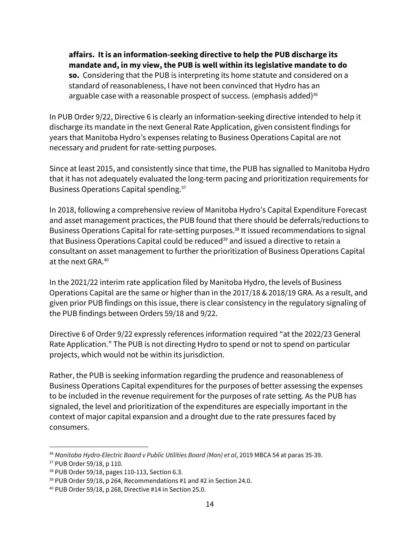**affairs. It is an information-seeking directive to help the PUB discharge its mandate and, in my view, the PUB is well within its legislative mandate to do so.** Considering that the PUB is interpreting its home statute and considered on a standard of reasonableness, I have not been convinced that Hydro has an arguable case with a reasonable prospect of success. (emphasis added) $36$ 

In PUB Order 9/22, Directive 6 is clearly an information-seeking directive intended to help it discharge its mandate in the next General Rate Application, given consistent findings for years that Manitoba Hydro's expenses relating to Business Operations Capital are not necessary and prudent for rate-setting purposes.

Since at least 2015, and consistently since that time, the PUB has signalled to Manitoba Hydro that it has not adequately evaluated the long-term pacing and prioritization requirements for Business Operations Capital spending.<sup>37</sup>

In 2018, following a comprehensive review of Manitoba Hydro's Capital Expenditure Forecast and asset management practices, the PUB found that there should be deferrals/reductions to Business Operations Capital for rate-setting purposes. <sup>38</sup> It issued recommendations to signal that Business Operations Capital could be reduced<sup>39</sup> and issued a directive to retain a consultant on asset management to further the prioritization of Business Operations Capital at the next GRA.<sup>40</sup>

In the 2021/22 interim rate application filed by Manitoba Hydro, the levels of Business Operations Capital are the same or higher than in the 2017/18 & 2018/19 GRA. As a result, and given prior PUB findings on this issue, there is clear consistency in the regulatory signaling of the PUB findings between Orders 59/18 and 9/22.

Directive 6 of Order 9/22 expressly references information required "at the 2022/23 General Rate Application." The PUB is not directing Hydro to spend or not to spend on particular projects, which would not be within its jurisdiction.

Rather, the PUB is seeking information regarding the prudence and reasonableness of Business Operations Capital expenditures for the purposes of better assessing the expenses to be included in the revenue requirement for the purposes of rate setting. As the PUB has signaled, the level and prioritization of the expenditures are especially important in the context of major capital expansion and a drought due to the rate pressures faced by consumers.

<sup>36</sup> *Manitoba Hydro-Electric Board v Public Utilities Board (Man) et al*, 2019 MBCA 54 at paras 35-39. <sup>37</sup> PUB Order 59/18, p 110.

<sup>38</sup> PUB Order 59/18, pages 110-113, Section 6.3.

<sup>&</sup>lt;sup>39</sup> PUB Order 59/18, p 264, Recommendations #1 and #2 in Section 24.0.

<sup>40</sup> PUB Order 59/18, p 268, Directive #14 in Section 25.0.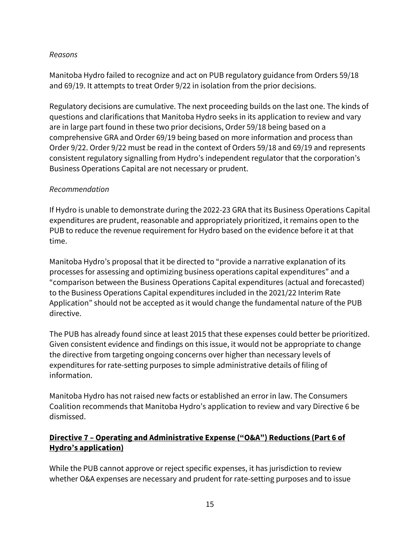#### *Reasons*

Manitoba Hydro failed to recognize and act on PUB regulatory guidance from Orders 59/18 and 69/19. It attempts to treat Order 9/22 in isolation from the prior decisions.

Regulatory decisions are cumulative. The next proceeding builds on the last one. The kinds of questions and clarifications that Manitoba Hydro seeks in its application to review and vary are in large part found in these two prior decisions, Order 59/18 being based on a comprehensive GRA and Order 69/19 being based on more information and process than Order 9/22. Order 9/22 must be read in the context of Orders 59/18 and 69/19 and represents consistent regulatory signalling from Hydro's independent regulator that the corporation's Business Operations Capital are not necessary or prudent.

#### *Recommendation*

If Hydro is unable to demonstrate during the 2022-23 GRA that its Business Operations Capital expenditures are prudent, reasonable and appropriately prioritized, it remains open to the PUB to reduce the revenue requirement for Hydro based on the evidence before it at that time.

Manitoba Hydro's proposal that it be directed to "provide a narrative explanation of its processes for assessing and optimizing business operations capital expenditures" and a "comparison between the Business Operations Capital expenditures (actual and forecasted) to the Business Operations Capital expenditures included in the 2021/22 Interim Rate Application" should not be accepted as it would change the fundamental nature of the PUB directive.

The PUB has already found since at least 2015 that these expenses could better be prioritized. Given consistent evidence and findings on this issue, it would not be appropriate to change the directive from targeting ongoing concerns over higher than necessary levels of expenditures for rate-setting purposes to simple administrative details of filing of information.

Manitoba Hydro has not raised new facts or established an error in law. The Consumers Coalition recommends that Manitoba Hydro's application to review and vary Directive 6 be dismissed.

### **Directive 7 – Operating and Administrative Expense ("O&A") Reductions (Part 6 of Hydro's application)**

While the PUB cannot approve or reject specific expenses, it has jurisdiction to review whether O&A expenses are necessary and prudent for rate-setting purposes and to issue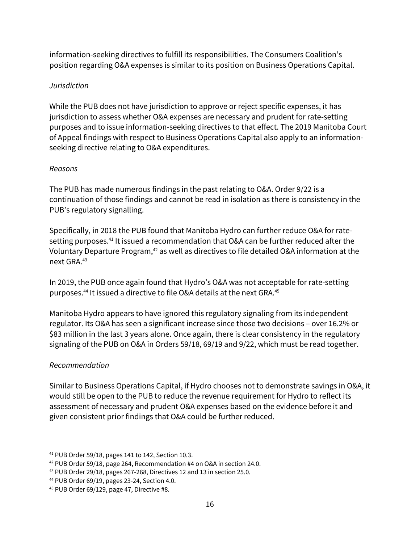information-seeking directives to fulfill its responsibilities. The Consumers Coalition's position regarding O&A expenses is similar to its position on Business Operations Capital.

### *Jurisdiction*

While the PUB does not have jurisdiction to approve or reject specific expenses, it has jurisdiction to assess whether O&A expenses are necessary and prudent for rate-setting purposes and to issue information-seeking directives to that effect. The 2019 Manitoba Court of Appeal findings with respect to Business Operations Capital also apply to an informationseeking directive relating to O&A expenditures.

### *Reasons*

The PUB has made numerous findings in the past relating to O&A. Order 9/22 is a continuation of those findings and cannot be read in isolation as there is consistency in the PUB's regulatory signalling.

Specifically, in 2018 the PUB found that Manitoba Hydro can further reduce O&A for ratesetting purposes.<sup>41</sup> It issued a recommendation that O&A can be further reduced after the Voluntary Departure Program, <sup>42</sup> as well as directives to file detailed O&A information at the next GRA.<sup>43</sup>

In 2019, the PUB once again found that Hydro's O&A was not acceptable for rate-setting purposes. <sup>44</sup> It issued a directive to file O&A details at the next GRA.<sup>45</sup>

Manitoba Hydro appears to have ignored this regulatory signaling from its independent regulator. Its O&A has seen a significant increase since those two decisions – over 16.2% or \$83 million in the last 3 years alone. Once again, there is clear consistency in the regulatory signaling of the PUB on O&A in Orders 59/18, 69/19 and 9/22, which must be read together.

# *Recommendation*

Similar to Business Operations Capital, if Hydro chooses not to demonstrate savings in O&A, it would still be open to the PUB to reduce the revenue requirement for Hydro to reflect its assessment of necessary and prudent O&A expenses based on the evidence before it and given consistent prior findings that O&A could be further reduced.

<sup>41</sup> PUB Order 59/18, pages 141 to 142, Section 10.3.

<sup>42</sup> PUB Order 59/18, page 264, Recommendation #4 on O&A in section 24.0.

<sup>43</sup> PUB Order 29/18, pages 267-268, Directives 12 and 13 in section 25.0.

<sup>44</sup> PUB Order 69/19, pages 23-24, Section 4.0.

<sup>45</sup> PUB Order 69/129, page 47, Directive #8.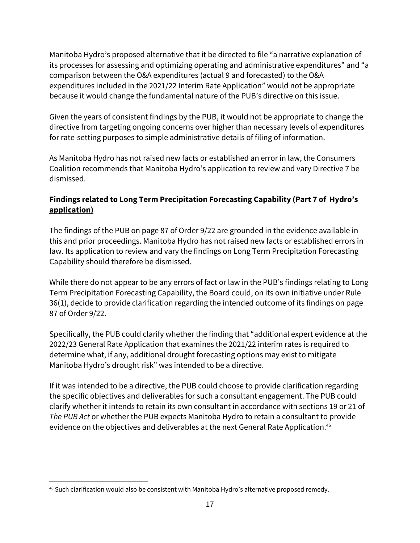Manitoba Hydro's proposed alternative that it be directed to file "a narrative explanation of its processes for assessing and optimizing operating and administrative expenditures" and "a comparison between the O&A expenditures (actual 9 and forecasted) to the O&A expenditures included in the 2021/22 Interim Rate Application" would not be appropriate because it would change the fundamental nature of the PUB's directive on this issue.

Given the years of consistent findings by the PUB, it would not be appropriate to change the directive from targeting ongoing concerns over higher than necessary levels of expenditures for rate-setting purposes to simple administrative details of filing of information.

As Manitoba Hydro has not raised new facts or established an error in law, the Consumers Coalition recommends that Manitoba Hydro's application to review and vary Directive 7 be dismissed.

# **Findings related to Long Term Precipitation Forecasting Capability (Part 7 of Hydro's application)**

The findings of the PUB on page 87 of Order 9/22 are grounded in the evidence available in this and prior proceedings. Manitoba Hydro has not raised new facts or established errors in law. Its application to review and vary the findings on Long Term Precipitation Forecasting Capability should therefore be dismissed.

While there do not appear to be any errors of fact or law in the PUB's findings relating to Long Term Precipitation Forecasting Capability, the Board could, on its own initiative under Rule 36(1), decide to provide clarification regarding the intended outcome of its findings on page 87 of Order 9/22.

Specifically, the PUB could clarify whether the finding that "additional expert evidence at the 2022/23 General Rate Application that examines the 2021/22 interim rates is required to determine what, if any, additional drought forecasting options may exist to mitigate Manitoba Hydro's drought risk" was intended to be a directive.

If it was intended to be a directive, the PUB could choose to provide clarification regarding the specific objectives and deliverables for such a consultant engagement. The PUB could clarify whether it intends to retain its own consultant in accordance with sections 19 or 21 of *The PUB Act* or whether the PUB expects Manitoba Hydro to retain a consultant to provide evidence on the objectives and deliverables at the next General Rate Application. 46

<sup>46</sup> Such clarification would also be consistent with Manitoba Hydro's alternative proposed remedy.